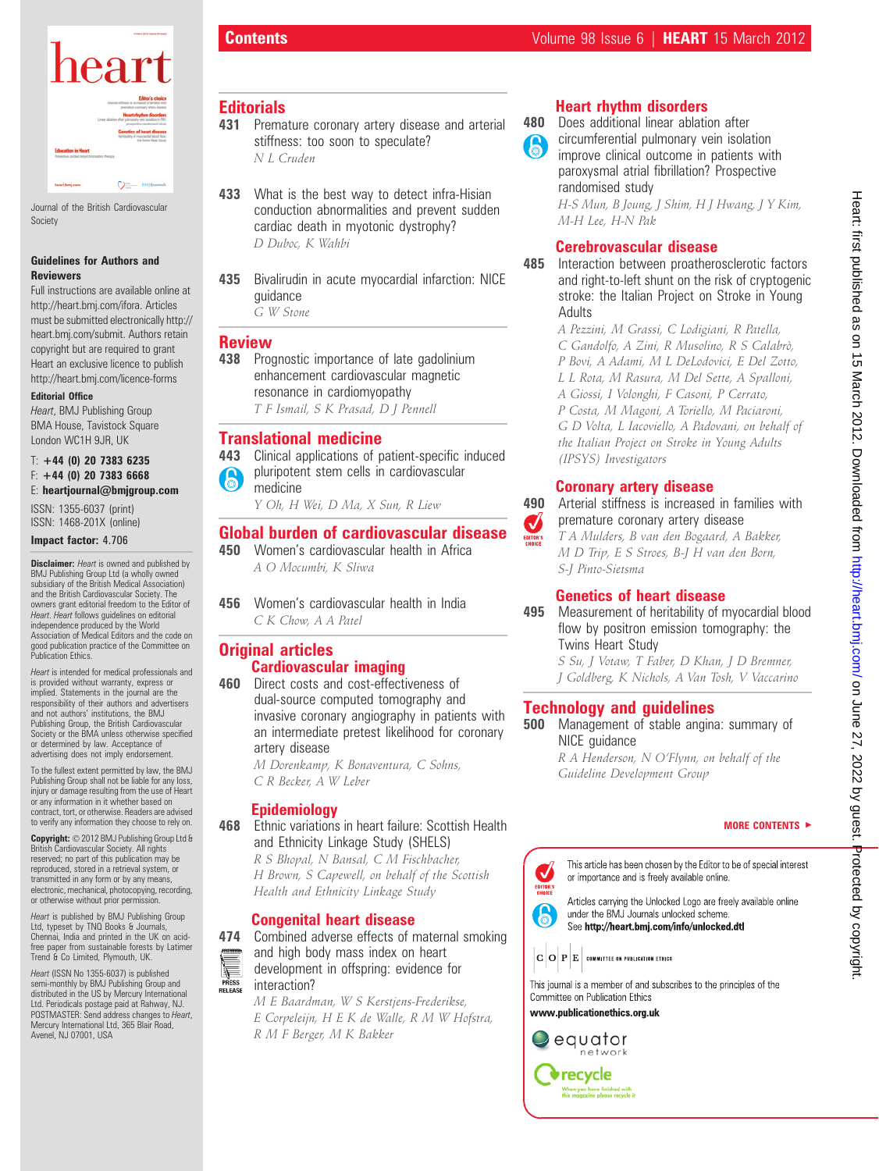

Journal of the British Cardiovascular Society

#### Guidelines for Authors and Reviewers

Full instructions are available online at http://heart.bmj.com/ifora. Articles must be submitted electronically http:// heart.bmj.com/submit. Authors retain copyright but are required to grant Heart an exclusive licence to publish http://heart.bmj.com/licence-forms

#### Editorial Office

Heart, BMJ Publishing Group BMA House, Tavistock Square London WC1H 9JR, UK

#### $T: +44$  (0) 20 7383 6235  $F: +44$  (0) 20 7383 6668 E: heartjournal@bmjgroup.com

ISSN: 1355-6037 (print) ISSN: 1468-201X (online)

#### Impact factor: 4.706

**Disclaimer:** Heart is owned and published by BMJ Publishing Group Ltd (a wholly owned subsidiary of the British Medical Association) and the British Cardiovascular Society. The owners grant editorial freedom to the Editor of Heart. Heart follows guidelines on editorial independence produced by the World Association of Medical Editors and the code on good publication practice of the Committee on Publication Ethics.

Heart is intended for medical professionals and is provided without warranty, express or implied. Statements in the journal are the responsibility of their authors and advertisers and not authors' institutions, the BMJ Publishing Group, the British Cardiovascular Society or the BMA unless otherwise specified or determined by law. Acceptance of advertising does not imply endorsement.

To the fullest extent permitted by law, the BMJ Publishing Group shall not be liable for any loss, injury or damage resulting from the use of Heart or any information in it whether based on contract, tort, or otherwise. Readers are advised to verify any information they choose to rely on.

Copyright: © 2012 BMJ Publishing Group Ltd & British Cardiovascular Society. All rights reserved; no part of this publication may be reproduced, stored in a retrieval system, or transmitted in any form or by any means, electronic, mechanical, photocopying, recording, or otherwise without prior permission.

Heart is published by BMJ Publishing Group Ltd, typeset by TNQ Books & Journals, Chennai, India and printed in the UK on acidfree paper from sustainable forests by Latimer Trend & Co Limited, Plymouth, UK.

Heart (ISSN No 1355-6037) is published semi-monthly by BMJ Publishing Group and distributed in the US by Mercury International Ltd. Periodicals postage paid at Rahway, NJ. POSTMASTER: Send address changes to Heart, Mercury International Ltd, 365 Blair Road, Avenel, NJ 07001, USA

# **Editorials**

- 431 Premature coronary artery disease and arterial stiffness: too soon to speculate? N L Cruden
- 433 What is the best way to detect infra-Hisian conduction abnormalities and prevent sudden cardiac death in myotonic dystrophy? D Duboc, K Wahbi
- 435 Bivalirudin in acute myocardial infarction: NICE guidance

G W Stone

#### Review

438 Prognostic importance of late gadolinium enhancement cardiovascular magnetic resonance in cardiomyopathy T F Ismail, S K Prasad, D J Pennell

#### Translational medicine

443 Clinical applications of patient-specific induced pluripotent stem cells in cardiovascular 6 medicine

Y Oh, H Wei, D Ma, X Sun, R Liew

#### **Global burden of cardiovascular disease**<br>450 Women's cardiovascular health in Africa Women's cardiovascular health in Africa

A O Mocumbi, K Sliwa

456 Women's cardiovascular health in India C K Chow, A A Patel

#### **Original articles** Cardiovascular imaging

460 Direct costs and cost-effectiveness of dual-source computed tomography and invasive coronary angiography in patients with an intermediate pretest likelihood for coronary artery disease

M Dorenkamp, K Bonaventura, C Sohns, C R Becker, A W Leber

#### Epidemiology

468 Ethnic variations in heart failure: Scottish Health and Ethnicity Linkage Study (SHELS) R S Bhopal, N Bansal, C M Fischbacher, H Brown, S Capewell, on behalf of the Scottish Health and Ethnicity Linkage Study

#### Congenital heart disease

474 Combined adverse effects of maternal smoking

- and high body mass index on heart
- development in offspring: evidence for interaction? RELEASE

M E Baardman, W S Kerstjens-Frederikse, E Corpeleijn, H E K de Walle, R M W Hofstra, R M F Berger, M K Bakker

# Heart rhythm disorders

480 Does additional linear ablation after circumferential pulmonary vein isolation 6 improve clinical outcome in patients with paroxysmal atrial fibrillation? Prospective randomised study H-S Mun, B Joung, J Shim, H J Hwang, J Y Kim, M-H Lee, H-N Pak

## Cerebrovascular disease

485 Interaction between proatherosclerotic factors and right-to-left shunt on the risk of cryptogenic stroke: the Italian Project on Stroke in Young Adults

> A Pezzini, M Grassi, C Lodigiani, R Patella, C Gandolfo, A Zini, R Musolino, R S Calabrò, P Bovi, A Adami, M L DeLodovici, E Del Zotto, L L Rota, M Rasura, M Del Sette, A Spalloni, A Giossi, I Volonghi, F Casoni, P Cerrato, P Costa, M Magoni, A Toriello, M Paciaroni, G D Volta, L Iacoviello, A Padovani, on behalf of the Italian Project on Stroke in Young Adults (IPSYS) Investigators

# Coronary artery disease

 $\boldsymbol{J}$ 

490 Arterial stiffness is increased in families with premature coronary artery disease

T A Mulders, B van den Bogaard, A Bakker, M D Trip, E S Stroes, B-J H van den Born, S-J Pinto-Sietsma

# Genetics of heart disease

495 Measurement of heritability of myocardial blood flow by positron emission tomography: the Twins Heart Study

S Su, J Votaw, T Faber, D Khan, J D Bremner, J Goldberg, K Nichols, A Van Tosh, V Vaccarino

# Technology and guidelines

500 Management of stable angina: summary of NICE quidance R A Henderson, N O'Flynn, on behalf of the Guideline Development Group

#### MORE CONTENTS  $\blacktriangleright$

This article has been chosen by the Editor to be of special interest  $\checkmark$ or importance and is freely available online. EDITOR'S

Articles carrying the Unlocked Logo are freely available online under the BMJ Journals unlocked scheme. See http://heart.bmj.com/info/unlocked.dtl

 $|\mathbf{C}\,|\mathbf{O}\,|\mathbf{P}\,|\mathbf{E}\,|$  committee on publication ethics

This journal is a member of and subscribes to the principles of the Committee on Publication Ethics

www.publicationethics.org.uk



6